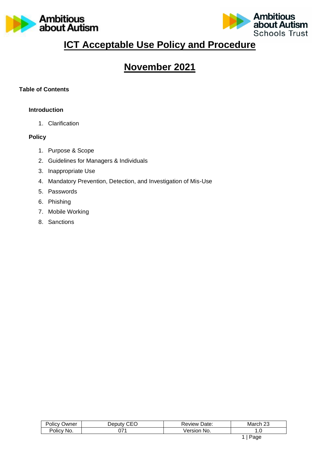



# **ICT Acceptable Use Policy and Procedure**

# **November 2021**

## **Table of Contents**

#### **Introduction**

1. Clarification

#### **Policy**

- 1. Purpose & Scope
- 2. Guidelines for Managers & Individuals
- 3. Inappropriate Use
- 4. Mandatory Prevention, Detection, and Investigation of Mis-Use
- 5. Passwords
- 6. Phishing
- 7. Mobile Working
- 8. Sanctions

| Jwner<br><b>OIICV</b> | $\sim$ $\sim$ $\sim$<br>⊃eputv<br>- | Date:<br>≺eview | $\sim$<br>March<br>∠◡ |
|-----------------------|-------------------------------------|-----------------|-----------------------|
| <b>Olicy</b><br>'NO.  | ∩¬⊿                                 | ∕ Areı∩r<br>NO. | . . ب                 |
|                       |                                     |                 | .<br>-                |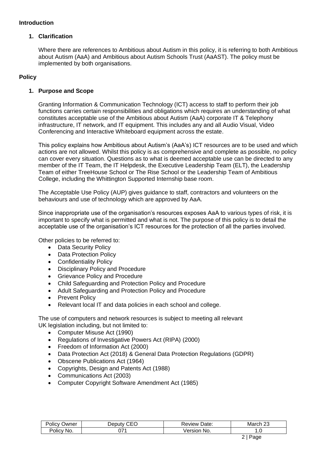#### **Introduction**

#### **1. Clarification**

Where there are references to Ambitious about Autism in this policy, it is referring to both Ambitious about Autism (AaA) and Ambitious about Autism Schools Trust (AaAST). The policy must be implemented by both organisations.

# **Policy**

### **1. Purpose and Scope**

Granting Information & Communication Technology (ICT) access to staff to perform their job functions carries certain responsibilities and obligations which requires an understanding of what constitutes acceptable use of the Ambitious about Autism (AaA) corporate IT & Telephony infrastructure, IT network, and IT equipment. This includes any and all Audio Visual, Video Conferencing and Interactive Whiteboard equipment across the estate.

This policy explains how Ambitious about Autism's (AaA's) ICT resources are to be used and which actions are not allowed. Whilst this policy is as comprehensive and complete as possible, no policy can cover every situation. Questions as to what is deemed acceptable use can be directed to any member of the IT Team, the IT Helpdesk, the Executive Leadership Team (ELT), the Leadership Team of either TreeHouse School or The Rise School or the Leadership Team of Ambitious College, including the Whittington Supported Internship base room.

The Acceptable Use Policy (AUP) gives guidance to staff, contractors and volunteers on the behaviours and use of technology which are approved by AaA.

Since inappropriate use of the organisation's resources exposes AaA to various types of risk, it is important to specify what is permitted and what is not. The purpose of this policy is to detail the acceptable use of the organisation's ICT resources for the protection of all the parties involved.

Other policies to be referred to:

- Data Security Policy
- Data Protection Policy
- Confidentiality Policy
- Disciplinary Policy and Procedure
- Grievance Policy and Procedure
- Child Safeguarding and Protection Policy and Procedure
- Adult Safeguarding and Protection Policy and Procedure
- Prevent Policy
- Relevant local IT and data policies in each school and college.

The use of computers and network resources is subject to meeting all relevant UK legislation including, but not limited to:

- Computer Misuse Act (1990)
- Regulations of Investigative Powers Act (RIPA) (2000)
- Freedom of Information Act (2000)
- Data Protection Act (2018) & General Data Protection Regulations (GDPR)
- Obscene Publications Act (1964)
- Copyrights, Design and Patents Act (1988)
- Communications Act (2003)
- Computer Copyright Software Amendment Act (1985)

| $\overline{\phantom{a}}$<br>)wner<br><b>OIICV</b> | ---<br>Jer<br>. JI ITV<br>- | Jate:<br>.veview '  | $\sim$<br>wai<br>∼ |
|---------------------------------------------------|-----------------------------|---------------------|--------------------|
| No.<br>olicy                                      | ∼−<br>v.                    | No.<br>ersion<br>eı | $\cdot \cdot$      |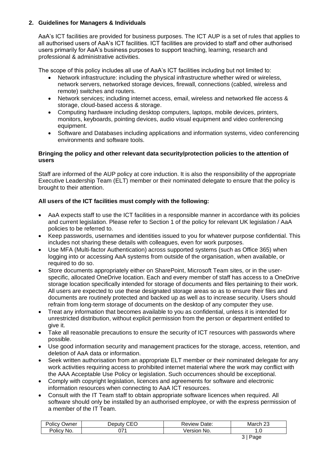## **2. Guidelines for Managers & Individuals**

AaA's ICT facilities are provided for business purposes. The ICT AUP is a set of rules that applies to all authorised users of AaA's ICT facilities. ICT facilities are provided to staff and other authorised users primarily for AaA's business purposes to support teaching, learning, research and professional & administrative activities.

The scope of this policy includes all use of AaA's ICT facilities including but not limited to:

- Network infrastructure: including the physical infrastructure whether wired or wireless, network servers, networked storage devices, firewall, connections (cabled, wireless and remote) switches and routers.
- Network services; including internet access, email, wireless and networked file access & storage, cloud-based access & storage.
- Computing hardware including desktop computers, laptops, mobile devices, printers, monitors, keyboards, pointing devices, audio visual equipment and video conferencing equipment.
- Software and Databases including applications and information systems, video conferencing environments and software tools.

#### **Bringing the policy and other relevant data security/protection policies to the attention of users**

Staff are informed of the AUP policy at core induction. It is also the responsibility of the appropriate Executive Leadership Team (ELT) member or their nominated delegate to ensure that the policy is brought to their attention.

### **All users of the ICT facilities must comply with the following:**

- AaA expects staff to use the ICT facilities in a responsible manner in accordance with its policies and current legislation. Please refer to Section 1 of the policy for relevant UK legislation / AaA policies to be referred to.
- Keep passwords, usernames and identities issued to you for whatever purpose confidential. This includes not sharing these details with colleagues, even for work purposes.
- Use MFA (Multi-factor Authentication) across supported systems (such as Office 365) when logging into or accessing AaA systems from outside of the organisation, when available, or required to do so.
- Store documents appropriately either on SharePoint, Microsoft Team sites, or in the userspecific, allocated OneDrive location. Each and every member of staff has access to a OneDrive storage location specifically intended for storage of documents and files pertaining to their work. All users are expected to use these designated storage areas so as to ensure their files and documents are routinely protected and backed up as well as to increase security. Users should refrain from long-term storage of documents on the desktop of any computer they use.
- Treat any information that becomes available to you as confidential, unless it is intended for unrestricted distribution, without explicit permission from the person or department entitled to give it.
- Take all reasonable precautions to ensure the security of ICT resources with passwords where possible.
- Use good information security and management practices for the storage, access, retention, and deletion of AaA data or information.
- Seek written authorisation from an appropriate ELT member or their nominated delegate for any work activities requiring access to prohibited internet material where the work may conflict with the AAA Acceptable Use Policy or legislation. Such occurrences should be exceptional.
- Comply with copyright legislation, licences and agreements for software and electronic information resources when connecting to AaA ICT resources.
- Consult with the IT Team staff to obtain appropriate software licences when required. All software should only be installed by an authorised employee, or with the express permission of a member of the IT Team.

| שwner<br>olicy | $\sim$<br>$-$<br>. JANIT.<br>-1 | Date:<br>kevlew | nr.<br>– Mar⊂<br>∠J |
|----------------|---------------------------------|-----------------|---------------------|
| olicy?         | ∩¬⊿                             | ersior          | ı.u                 |
| 'No.           | υı                              | NO.             |                     |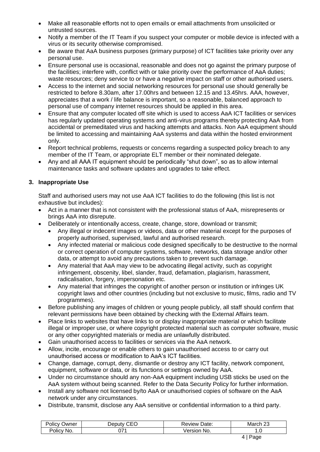- Make all reasonable efforts not to open emails or email attachments from unsolicited or untrusted sources.
- Notify a member of the IT Team if you suspect your computer or mobile device is infected with a virus or its security otherwise compromised.
- Be aware that AaA business purposes (primary purpose) of ICT facilities take priority over any personal use.
- Ensure personal use is occasional, reasonable and does not go against the primary purpose of the facilities; interfere with, conflict with or take priority over the performance of AaA duties; waste resources; deny service to or have a negative impact on staff or other authorised users.
- Access to the internet and social networking resources for personal use should generally be restricted to before 8.30am, after 17.00hrs and between 12.15 and 13.45hrs. AAA, however, appreciates that a work / life balance is important, so a reasonable, balanced approach to personal use of company internet resources should be applied in this area.
- Ensure that any computer located off site which is used to access AaA ICT facilities or services has regularly updated operating systems and anti-virus programs thereby protecting AaA from accidental or premeditated virus and hacking attempts and attacks. Non AaA equipment should be limited to accessing and maintaining AaA systems and data within the hosted environment only.
- Report technical problems, requests or concerns regarding a suspected policy breach to any member of the IT Team, or appropriate ELT member or their nominated delegate.
- Any and all AAA IT equipment should be periodically "shut down", so as to allow internal maintenance tasks and software updates and upgrades to take effect.

# **3. Inappropriate Use**

Staff and authorised users may not use AaA ICT facilities to do the following (this list is not exhaustive but includes):

- Act in a manner that is not consistent with the professional status of AaA, misrepresents or brings AaA into disrepute.
- Deliberately or intentionally access, create, change, store, download or transmit;
	- Any illegal or indecent images or videos, data or other material except for the purposes of properly authorised, supervised, lawful and authorised research.
	- Any infected material or malicious code designed specifically to be destructive to the normal or correct operation of computer systems, software, networks, data storage and/or other data, or attempt to avoid any precautions taken to prevent such damage.
	- Any material that AaA may view to be advocating illegal activity, such as copyright infringement, obscenity, libel, slander, fraud, defamation, plagiarism, harassment, radicalisation, forgery, impersonation etc.
	- Any material that infringes the copyright of another person or institution or infringes UK copyright laws and other countries (including but not exclusive to music, films, radio and TV programmes).
- Before publishing any images of children or young people publicly, all staff should confirm that relevant permissions have been obtained by checking with the External Affairs team.
- Place links to websites that have links to or display inappropriate material or which facilitate illegal or improper use, or where copyright protected material such as computer software, music or any other copyrighted materials or media are unlawfully distributed.
- Gain unauthorised access to facilities or services via the AaA network.
- Allow, incite, encourage or enable others to gain unauthorised access to or carry out unauthorised access or modification to AaA's ICT facilities.
- Change, damage, corrupt, deny, dismantle or destroy any ICT facility, network component, equipment, software or data, or its functions or settings owned by AaA.
- Under no circumstance should any non-AaA equipment including USB sticks be used on the AaA system without being scanned. Refer to the Data Security Policy for further information.
- Install any software not licensed by/to AaA or unauthorised copies of software on the AaA network under any circumstances.
- Distribute, transmit, disclose any AaA sensitive or confidential information to a third party.

| . .<br>∋wner<br>diicv | $\sim$ $\sim$ $\sim$<br>וו וחבו<br>-<br>ו ונ | Jate.<br>Review | $\sim$<br>Marcr   |
|-----------------------|----------------------------------------------|-----------------|-------------------|
| 'olicy                | 77.                                          | No.             | $\cdot\cdot\cdot$ |
| 'No.                  | .                                            | ונזו            |                   |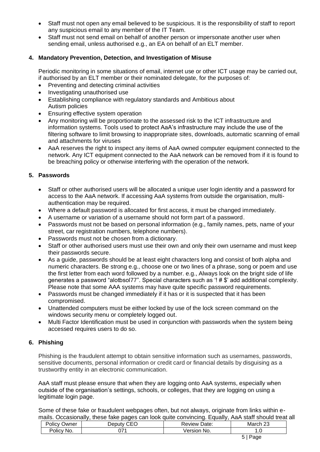- Staff must not open any email believed to be suspicious. It is the responsibility of staff to report any suspicious email to any member of the IT Team.
- Staff must not send email on behalf of another person or impersonate another user when sending email, unless authorised e.g., an EA on behalf of an ELT member.

## **4. Mandatory Prevention, Detection, and Investigation of Misuse**

Periodic monitoring in some situations of email, internet use or other ICT usage may be carried out, if authorised by an ELT member or their nominated delegate, for the purposes of:

- Preventing and detecting criminal activities
- Investigating unauthorised use
- Establishing compliance with regulatory standards and Ambitious about Autism policies
- Ensuring effective system operation
- Any monitoring will be proportionate to the assessed risk to the ICT infrastructure and information systems. Tools used to protect AaA's infrastructure may include the use of the filtering software to limit browsing to inappropriate sites, downloads, automatic scanning of email and attachments for viruses
- AaA reserves the right to inspect any items of AaA owned computer equipment connected to the network. Any ICT equipment connected to the AaA network can be removed from if it is found to be breaching policy or otherwise interfering with the operation of the network.

## **5. Passwords**

- Staff or other authorised users will be allocated a unique user login identity and a password for access to the AaA network. If accessing AaA systems from outside the organisation, multiauthentication may be required.
- Where a default password is allocated for first access, it must be changed immediately.
- A username or variation of a username should not form part of a password.
- Passwords must not be based on personal information (e.g., family names, pets, name of your street, car registration numbers, telephone numbers).
- Passwords must not be chosen from a dictionary.
- Staff or other authorised users must use their own and only their own username and must keep their passwords secure.
- As a guide, passwords should be at least eight characters long and consist of both alpha and numeric characters. Be strong e.g., choose one or two lines of a phrase, song or poem and use the first letter from each word followed by a number. e.g., Always look on the bright side of life generates a password "alotbsol77". Special characters such as '! # \$' add additional complexity. Please note that some AAA systems may have quite specific password requirements.
- Passwords must be changed immediately if it has or it is suspected that it has been compromised.
- Unattended computers must be either locked by use of the lock screen command on the windows security menu or completely logged out.
- Multi Factor Identification must be used in conjunction with passwords when the system being accessed requires users to do so.

#### **6. Phishing**

Phishing is the fraudulent attempt to obtain sensitive information such as usernames, passwords, sensitive documents, personal information or credit card or financial details by disguising as a trustworthy entity in an electronic communication.

AaA staff must please ensure that when they are logging onto AaA systems, especially when outside of the organisation's settings, schools, or colleges, that they are logging on using a legitimate login page.

Some of these fake or fraudulent webpages often, but not always, originate from links within emails. Occasionally, these fake pages can look quite convincing. Equally, AaA staff should treat all

| ∽<br>Policy<br>Jwner | $\sim$ $\sim$ $\sim$<br>יוחם ה'<br>∵י ال⊔ت | Date:<br>∴eview ∴ | $\sim$<br>ヘアヘビ<br>March 23 |
|----------------------|--------------------------------------------|-------------------|----------------------------|
| No.<br>OIICV         | 77.<br>UI.                                 | ∍rsı∩n<br>No.     | $\cdot\cdot$ . $\cup$      |